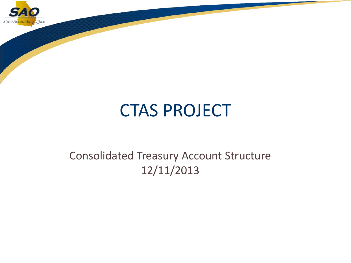

### CTAS PROJECT

#### Consolidated Treasury Account Structure 12/11/2013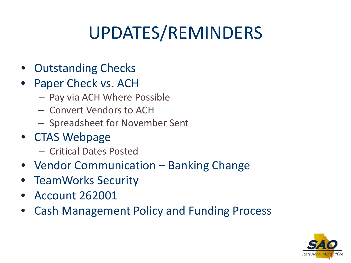# UPDATES/REMINDERS

- Outstanding Checks
- Paper Check vs. ACH
	- Pay via ACH Where Possible
	- Convert Vendors to ACH
	- Spreadsheet for November Sent
- CTAS Webpage
	- Critical Dates Posted
- Vendor Communication Banking Change
- TeamWorks Security
- Account 262001
- Cash Management Policy and Funding Process

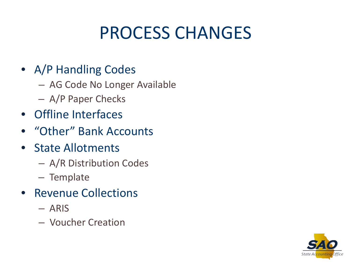### PROCESS CHANGES

#### • A/P Handling Codes

- AG Code No Longer Available
- A/P Paper Checks
- Offline Interfaces
- "Other" Bank Accounts
- State Allotments
	- A/R Distribution Codes
	- Template
- Revenue Collections
	- ARIS
	- Voucher Creation

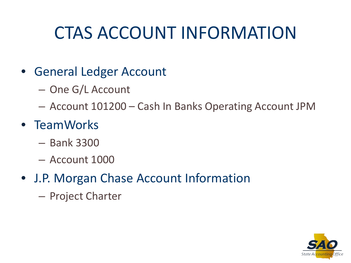## CTAS ACCOUNT INFORMATION

### • General Ledger Account

– One G/L Account

– Account 101200 – Cash In Banks Operating Account JPM

### • TeamWorks

- Bank 3300
- Account 1000
- J.P. Morgan Chase Account Information
	- Project Charter

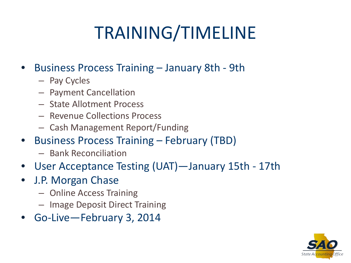# TRAINING/TIMELINE

- Business Process Training January 8th 9th
	- Pay Cycles
	- Payment Cancellation
	- State Allotment Process
	- Revenue Collections Process
	- Cash Management Report/Funding
- Business Process Training February (TBD)
	- Bank Reconciliation
- User Acceptance Testing (UAT)—January 15th 17th
- J.P. Morgan Chase
	- Online Access Training
	- Image Deposit Direct Training
- Go-Live—February 3, 2014